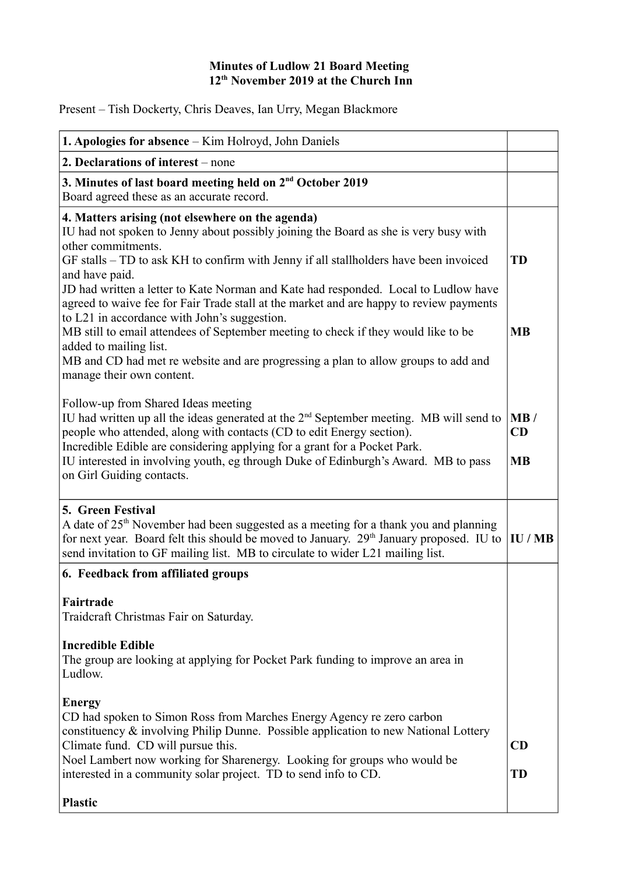## **Minutes of Ludlow 21 Board Meeting 12th November 2019 at the Church Inn**

Present – Tish Dockerty, Chris Deaves, Ian Urry, Megan Blackmore

| 1. Apologies for absence – Kim Holroyd, John Daniels                                                                                                                                                                                                                                                                                                                                                                                                                                                                                                                                                                                                                                                                                           |                        |
|------------------------------------------------------------------------------------------------------------------------------------------------------------------------------------------------------------------------------------------------------------------------------------------------------------------------------------------------------------------------------------------------------------------------------------------------------------------------------------------------------------------------------------------------------------------------------------------------------------------------------------------------------------------------------------------------------------------------------------------------|------------------------|
| 2. Declarations of interest – none                                                                                                                                                                                                                                                                                                                                                                                                                                                                                                                                                                                                                                                                                                             |                        |
| 3. Minutes of last board meeting held on 2 <sup>nd</sup> October 2019<br>Board agreed these as an accurate record.                                                                                                                                                                                                                                                                                                                                                                                                                                                                                                                                                                                                                             |                        |
| 4. Matters arising (not elsewhere on the agenda)<br>IU had not spoken to Jenny about possibly joining the Board as she is very busy with<br>other commitments.<br>GF stalls – TD to ask KH to confirm with Jenny if all stallholders have been invoiced<br>and have paid.<br>JD had written a letter to Kate Norman and Kate had responded. Local to Ludlow have<br>agreed to waive fee for Fair Trade stall at the market and are happy to review payments<br>to L21 in accordance with John's suggestion.<br>MB still to email attendees of September meeting to check if they would like to be<br>added to mailing list.<br>MB and CD had met re website and are progressing a plan to allow groups to add and<br>manage their own content. | <b>TD</b><br><b>MB</b> |
| Follow-up from Shared Ideas meeting<br>IU had written up all the ideas generated at the $2nd$ September meeting. MB will send to<br>people who attended, along with contacts (CD to edit Energy section).<br>Incredible Edible are considering applying for a grant for a Pocket Park.<br>IU interested in involving youth, eg through Duke of Edinburgh's Award. MB to pass<br>on Girl Guiding contacts.                                                                                                                                                                                                                                                                                                                                      | MB/<br>CD<br><b>MB</b> |
| 5. Green Festival<br>A date of 25 <sup>th</sup> November had been suggested as a meeting for a thank you and planning<br>for next year. Board felt this should be moved to January. 29 <sup>th</sup> January proposed. IU to<br>send invitation to GF mailing list. MB to circulate to wider L21 mailing list.                                                                                                                                                                                                                                                                                                                                                                                                                                 | IU/MB                  |
| 6. Feedback from affiliated groups                                                                                                                                                                                                                                                                                                                                                                                                                                                                                                                                                                                                                                                                                                             |                        |
| Fairtrade<br>Traidcraft Christmas Fair on Saturday.<br><b>Incredible Edible</b><br>The group are looking at applying for Pocket Park funding to improve an area in                                                                                                                                                                                                                                                                                                                                                                                                                                                                                                                                                                             |                        |
| Ludlow.<br><b>Energy</b><br>CD had spoken to Simon Ross from Marches Energy Agency re zero carbon<br>constituency & involving Philip Dunne. Possible application to new National Lottery<br>Climate fund. CD will pursue this.<br>Noel Lambert now working for Sharenergy. Looking for groups who would be<br>interested in a community solar project. TD to send info to CD.<br><b>Plastic</b>                                                                                                                                                                                                                                                                                                                                                | CD<br><b>TD</b>        |